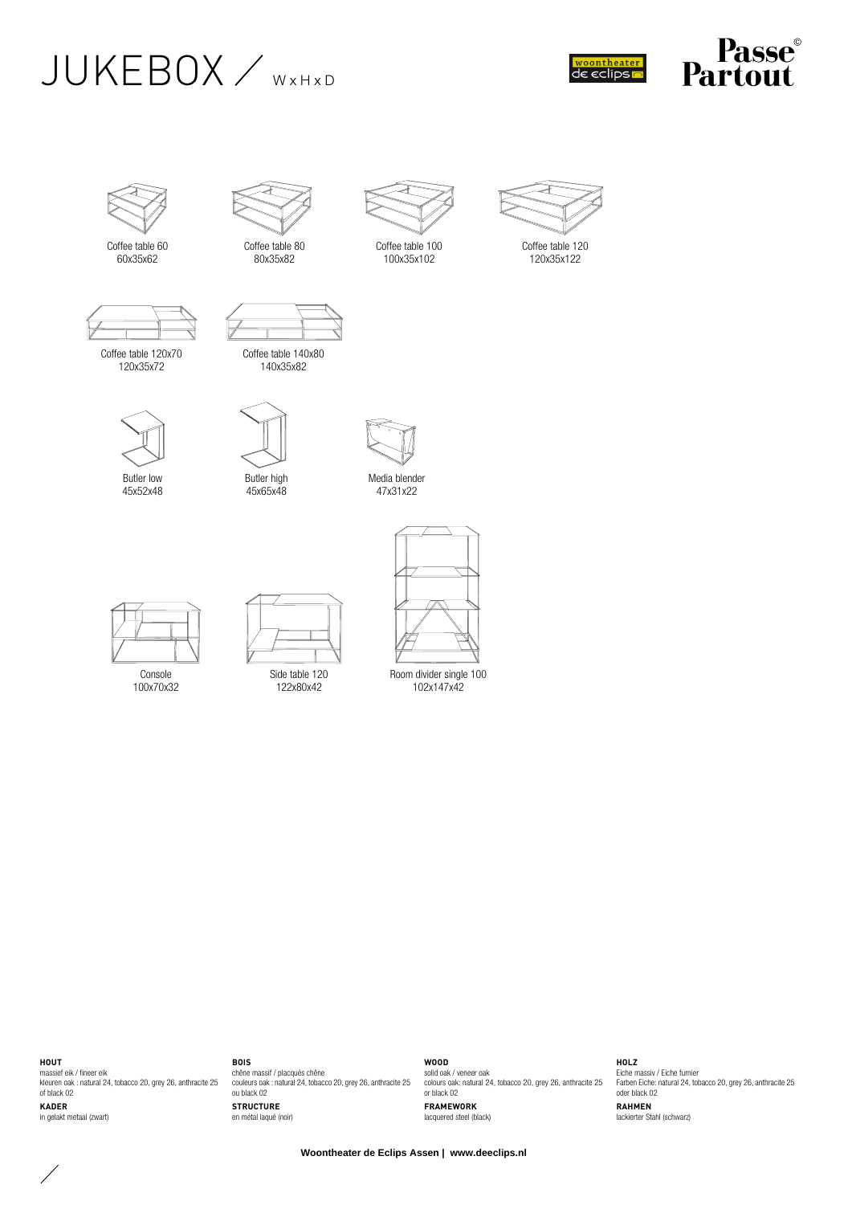







Coffee table 60 60x35x62



Coffee table 80 80x35x82

Coffee table 140x80 140x35x82



Coffee table 100 100x35x102



Coffee table 120x70 120x35x72

45x52x48



Butler high 45x65x48



Media blender 47x31x22



Console 100x70x32



Side table 120 122x80x42



Room divider single 100 102x147x42

**HOUT**

 $\diagup$ 

massief eik / fineer eik kleuren oak : natural 24, tobacco 20, grey 26, anthracite 25 of black 02 **KADER** in gelakt metaal (zwart)

**BOIS** chêne massif / placqués chêne couleurs oak : natural 24, tobacco 20, grey 26, anthracite 25 ou black 02 **STRUCTURE** en métal laqué (noir)

**WOOD** solid oak / veneer oak colours oak: natural 24, tobacco 20, grey 26, anthracite 25 or black 02 **FRAMEWORK** lacquered steel (black)

**HOLZ** Eiche massiv / Eiche furnier Farben Eiche: natural 24, tobacco 20, grey 26, anthracite 25 oder black 02 **RAHMEN** lackierter Stahl (schwarz)